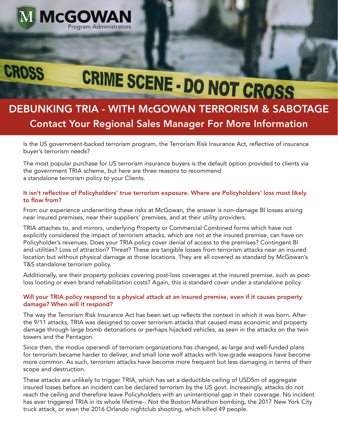

**CROSS** 

# CRIME SCENE - DO NOT CROSS

## DEBUNKING TRIA - WITH McGOWAN TERRORISM & SABOTAGE Contact Your Regional Sales Manager For More Information

Is the US government-backed terrorism program, the Terrorism Risk Insurance Act, reflective of insurance buyer's terrorism needs?

The most popular purchase for US terrorism insurance buyers is the default option provided to clients via the government TRIA scheme, but here are three reasons to recommend a standalone terrorism policy to your Clients.

### It isn't reflective of Policyholders' true terrorism exposure. Where are Policyholders' loss most likely to flow from?

From our experience underwriting these risks at McGowan, the answer is non-damage BI losses arising near insured premises, near their suppliers' premises, and at their utility providers.

TRIA attaches to, and mirrors, underlying Property or Commercial Combined forms which have not explicitly considered the impact of terrorism attacks, which are not at the insured premise, can have on Policyholder's revenues. Does your TRIA policy cover denial of access to the premises? Contingent BI and utilities? Loss of attraction? Threat? These are tangible losses from terrorism attacks near an insured location but without physical damage at those locations. They are all covered as standard by McGowan's T&S standalone terrorism policy.

Additionally, are their property policies covering post-loss coverages at the insured premise, such as postloss looting or even brand rehabilitation costs? Again, this is standard cover under a standalone policy.

#### Will your TRIA policy respond to a physical attack at an insured premise, even if it causes property damage? When will it respond?

The way the Terrorism Risk Insurance Act has been set up reflects the context in which it was born. After the 9/11 attacks, TRIA was designed to cover terrorism attacks that caused mass economic and property damage through large bomb detonations or perhaps hijacked vehicles, as seen in the attacks on the twin towers and the Pentagon.

Since then, the modus operandi of terrorism organizations has changed, as large and well-funded plans for terrorism became harder to deliver, and small lone wolf attacks with low-grade weapons have become more common. As such, terrorism attacks have become more frequent but less damaging in terms of their scope and destruction.

These attacks are unlikely to trigger TRIA, which has set a deductible ceiling of USD5m of aggregate insured losses before an incident can be declared terrorism by the US govt. Increasingly, attacks do not reach the ceiling and therefore leave Policyholders with an unintentional gap in their coverage. No incident has ever triggered TRIA in its whole lifetime-- Not the Boston Marathon bombing, the 2017 New York City truck attack, or even the 2016 Orlando nightclub shooting, which killed 49 people.